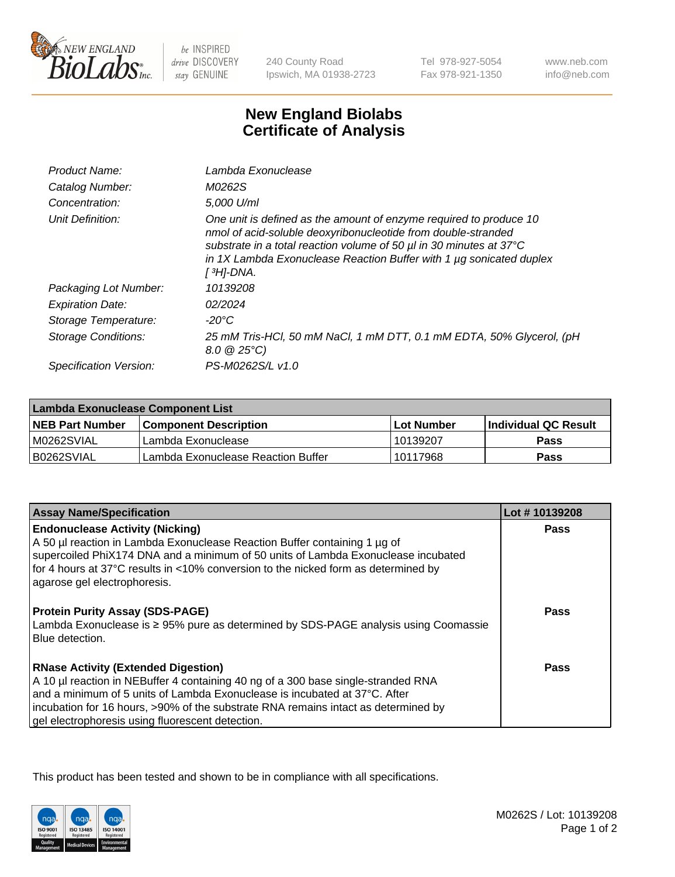

 $be$  INSPIRED drive DISCOVERY stay GENUINE

240 County Road Ipswich, MA 01938-2723

Tel 978-927-5054 Fax 978-921-1350 www.neb.com info@neb.com

## **New England Biolabs Certificate of Analysis**

| Product Name:           | Lambda Exonuclease                                                                                                                                                                                                                                                                                               |
|-------------------------|------------------------------------------------------------------------------------------------------------------------------------------------------------------------------------------------------------------------------------------------------------------------------------------------------------------|
| Catalog Number:         | M0262S                                                                                                                                                                                                                                                                                                           |
| Concentration:          | 5,000 U/ml                                                                                                                                                                                                                                                                                                       |
| Unit Definition:        | One unit is defined as the amount of enzyme required to produce 10<br>nmol of acid-soluble deoxyribonucleotide from double-stranded<br>substrate in a total reaction volume of 50 µl in 30 minutes at 37°C<br>in 1X Lambda Exonuclease Reaction Buffer with 1 $\mu$ g sonicated duplex<br>[ <sup>3</sup> H]-DNA. |
| Packaging Lot Number:   | 10139208                                                                                                                                                                                                                                                                                                         |
| <b>Expiration Date:</b> | 02/2024                                                                                                                                                                                                                                                                                                          |
| Storage Temperature:    | $-20^{\circ}$ C                                                                                                                                                                                                                                                                                                  |
| Storage Conditions:     | 25 mM Tris-HCl, 50 mM NaCl, 1 mM DTT, 0.1 mM EDTA, 50% Glycerol, (pH<br>$8.0 \ @ 25^{\circ}C$                                                                                                                                                                                                                    |
| Specification Version:  | PS-M0262S/L v1.0                                                                                                                                                                                                                                                                                                 |

| Lambda Exonuclease Component List |                                    |             |                             |  |
|-----------------------------------|------------------------------------|-------------|-----------------------------|--|
| <b>NEB Part Number</b>            | l Component Description            | ⊺Lot Number | <b>Individual QC Result</b> |  |
| IM0262SVIAL                       | Lambda Exonuclease                 | 10139207    | <b>Pass</b>                 |  |
| IB0262SVIAL                       | Lambda Exonuclease Reaction Buffer | 10117968    | Pass                        |  |

| <b>Assay Name/Specification</b>                                                                        | Lot #10139208 |
|--------------------------------------------------------------------------------------------------------|---------------|
| <b>Endonuclease Activity (Nicking)</b>                                                                 | <b>Pass</b>   |
| A 50 µl reaction in Lambda Exonuclease Reaction Buffer containing 1 µg of                              |               |
| supercoiled PhiX174 DNA and a minimum of 50 units of Lambda Exonuclease incubated                      |               |
| for 4 hours at 37°C results in <10% conversion to the nicked form as determined by                     |               |
| agarose gel electrophoresis.                                                                           |               |
| <b>Protein Purity Assay (SDS-PAGE)</b>                                                                 | Pass          |
| Lambda Exonuclease is ≥ 95% pure as determined by SDS-PAGE analysis using Coomassie<br>Blue detection. |               |
| <b>RNase Activity (Extended Digestion)</b>                                                             | Pass          |
| A 10 µl reaction in NEBuffer 4 containing 40 ng of a 300 base single-stranded RNA                      |               |
| and a minimum of 5 units of Lambda Exonuclease is incubated at 37°C. After                             |               |
| incubation for 16 hours, >90% of the substrate RNA remains intact as determined by                     |               |
| gel electrophoresis using fluorescent detection.                                                       |               |

This product has been tested and shown to be in compliance with all specifications.